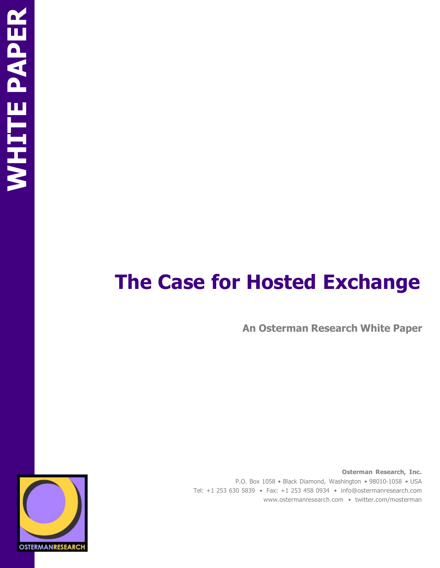# **The Case for Hosted Exchange**

**An Osterman Research White Paper**

**Osterman Research, Inc.** P.O. Box 1058 • Black Diamond, Washington • 98010-1058 • USA Tel: +1 253 630 5839 • Fax: +1 253 458 0934 • [info@ostermanresearch.com](mailto:info@ostermanresearch.com)  [www.ostermanresearch.com •](http://www.ostermanresearch.com/) twitter.com/mosterman

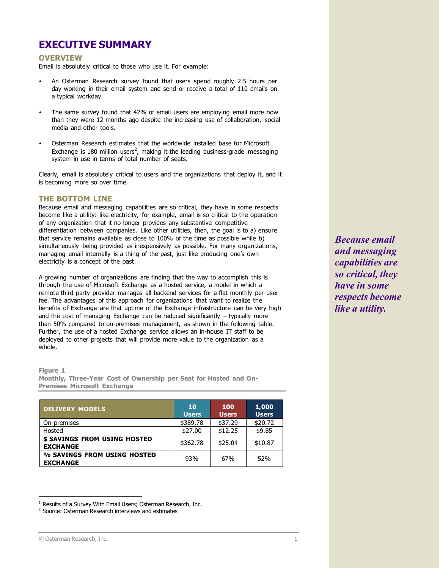# **EXECUTIVE SUMMARY**

#### **OVERVIEW**

Email is absolutely critical to those who use it. For example:

- An Osterman Research survey found that users spend roughly 2.5 hours per day working in their email system and send or receive a total of 110 emails on a typical workday.
- The same survey found that 42% of email users are employing email more now than they were 12 months ago despite the increasing use of collaboration, social media and other tools.
- Osterman Research estimates that the worldwide installed base for Microsoft Exchange is 180 million users<sup>2</sup>, making it the leading business-grade messaging system in use in terms of total number of seats.

Clearly, email is absolutely critical to users and the organizations that deploy it, and it is becoming more so over time.

#### **THE BOTTOM LINE**

Because email and messaging capabilities are so critical, they have in some respects become like a utility: like electricity, for example, email is so critical to the operation of any organization that it no longer provides any substantive competitive differentiation between companies. Like other utilities, then, the goal is to a) ensure that service remains available as close to 100% of the time as possible while b) simultaneously being provided as inexpensively as possible. For many organizations, managing email internally is a thing of the past, just like producing one's own electricity is a concept of the past.

A growing number of organizations are finding that the way to accomplish this is through the use of Microsoft Exchange as a hosted service, a model in which a remote third party provider manages all backend services for a flat monthly per user fee. The advantages of this approach for organizations that want to realize the benefits of Exchange are that uptime of the Exchange infrastructure can be very high and the cost of managing Exchange can be reduced significantly – typically more than 50% compared to on-premises management, as shown in the following table. Further, the use of a hosted Exchange service allows an in-house IT staff to be deployed to other projects that will provide more value to the organization as a whole.

**Figure 1**

**Monthly, Three-Year Cost of Ownership per Seat for Hosted and On-Premises Microsoft Exchange**

| <b>DELIVERY MODELS</b>                          | <b>10</b><br><b>Users</b> | 100<br><b>Users</b> | 1,000<br><b>Users</b> |
|-------------------------------------------------|---------------------------|---------------------|-----------------------|
| On-premises                                     | \$389.78                  | \$37.29             | \$20.72               |
| Hosted                                          | \$27.00                   | \$12.25             | \$9.85                |
| \$ SAVINGS FROM USING HOSTED<br><b>EXCHANGE</b> | \$362.78                  | \$25.04             | \$10.87               |
| % SAVINGS FROM USING HOSTED<br><b>EXCHANGE</b>  | 93%                       | 67%                 | 52%                   |

*Because email and messaging capabilities are so critical, they have in some respects become like a utility.*

<sup>&</sup>lt;sup>1</sup> Results of a Survey With Email Users: Osterman Research, Inc.

<sup>&</sup>lt;sup>2</sup> Source: Osterman Research interviews and estimates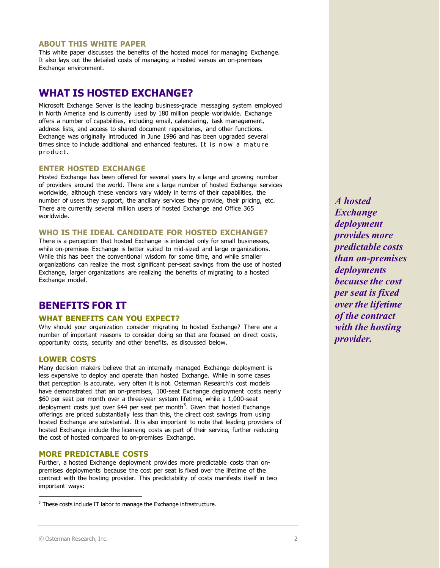#### **ABOUT THIS WHITE PAPER**

This white paper discusses the benefits of the hosted model for managing Exchange. It also lays out the detailed costs of managing a hosted versus an on-premises Exchange environment.

# **WHAT IS HOSTED EXCHANGE?**

Microsoft Exchange Server is the leading business-grade messaging system employed in North America and is currently used by 180 million people worldwide. Exchange offers a number of capabilities, including email, calendaring, task management, address lists, and access to shared document repositories, and other functions. Exchange was originally introduced in June 1996 and has been upgraded several times since to include additional and enhanced features. It is now a mature product.

#### **ENTER HOSTED EXCHANGE**

Hosted Exchange has been offered for several years by a large and growing number of providers around the world. There are a large number of hosted Exchange services worldwide, although these vendors vary widely in terms of their capabilities, the number of users they support, the ancillary services they provide, their pricing, etc. There are currently several million users of hosted Exchange and Office 365 worldwide.

#### **WHO IS THE IDEAL CANDIDATE FOR HOSTED EXCHANGE?**

There is a perception that hosted Exchange is intended only for small businesses, while on-premises Exchange is better suited to mid-sized and large organizations. While this has been the conventional wisdom for some time, and while smaller organizations can realize the most significant per-seat savings from the use of hosted Exchange, larger organizations are realizing the benefits of migrating to a hosted Exchange model.

# **BENEFITS FOR IT**

#### **WHAT BENEFITS CAN YOU EXPECT?**

Why should your organization consider migrating to hosted Exchange? There are a number of important reasons to consider doing so that are focused on direct costs, opportunity costs, security and other benefits, as discussed below.

#### **LOWER COSTS**

Many decision makers believe that an internally managed Exchange deployment is less expensive to deploy and operate than hosted Exchange. While in some cases that perception is accurate, very often it is not. Osterman Research's cost models have demonstrated that an on-premises, 100-seat Exchange deployment costs nearly \$60 per seat per month over a three-year system lifetime, while a 1,000-seat deployment costs just over \$44 per seat per month<sup>3</sup>. Given that hosted Exchange offerings are priced substantially less than this, the direct cost savings from using hosted Exchange are substantial. It is also important to note that leading providers of hosted Exchange include the licensing costs as part of their service, further reducing the cost of hosted compared to on-premises Exchange.

#### **MORE PREDICTABLE COSTS**

Further, a hosted Exchange deployment provides more predictable costs than onpremises deployments because the cost per seat is fixed over the lifetime of the contract with the hosting provider. This predictability of costs manifests itself in two important ways:

*A hosted Exchange deployment provides more predictable costs than on-premises deployments because the cost per seat is fixed over the lifetime of the contract with the hosting provider.*

<sup>&</sup>lt;sup>3</sup> These costs include IT labor to manage the Exchange infrastructure.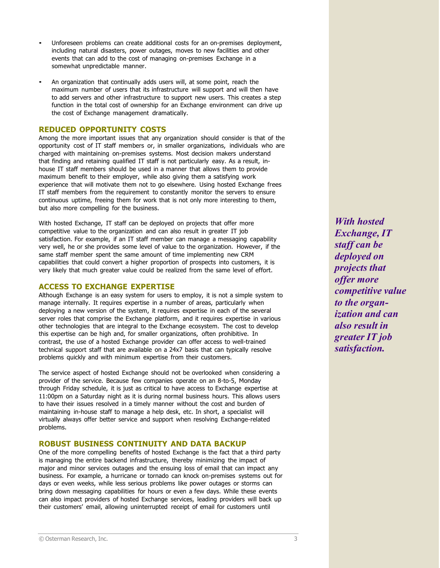- Unforeseen problems can create additional costs for an on-premises deployment, including natural disasters, power outages, moves to new facilities and other events that can add to the cost of managing on-premises Exchange in a somewhat unpredictable manner.
- An organization that continually adds users will, at some point, reach the maximum number of users that its infrastructure will support and will then have to add servers and other infrastructure to support new users. This creates a step function in the total cost of ownership for an Exchange environment can drive up the cost of Exchange management dramatically.

#### **REDUCED OPPORTUNITY COSTS**

Among the more important issues that any organization should consider is that of the opportunity cost of IT staff members or, in smaller organizations, individuals who are charged with maintaining on-premises systems. Most decision makers understand that finding and retaining qualified IT staff is not particularly easy. As a result, inhouse IT staff members should be used in a manner that allows them to provide maximum benefit to their employer, while also giving them a satisfying work experience that will motivate them not to go elsewhere. Using hosted Exchange frees IT staff members from the requirement to constantly monitor the servers to ensure continuous uptime, freeing them for work that is not only more interesting to them, but also more compelling for the business.

With hosted Exchange, IT staff can be deployed on projects that offer more competitive value to the organization and can also result in greater IT job satisfaction. For example, if an IT staff member can manage a messaging capability very well, he or she provides some level of value to the organization. However, if the same staff member spent the same amount of time implementing new CRM capabilities that could convert a higher proportion of prospects into customers, it is very likely that much greater value could be realized from the same level of effort.

#### **ACCESS TO EXCHANGE EXPERTISE**

Although Exchange is an easy system for users to employ, it is not a simple system to manage internally. It requires expertise in a number of areas, particularly when deploying a new version of the system, it requires expertise in each of the several server roles that comprise the Exchange platform, and it requires expertise in various other technologies that are integral to the Exchange ecosystem. The cost to develop this expertise can be high and, for smaller organizations, often prohibitive. In contrast, the use of a hosted Exchange provider can offer access to well-trained technical support staff that are available on a 24x7 basis that can typically resolve problems quickly and with minimum expertise from their customers.

The service aspect of hosted Exchange should not be overlooked when considering a provider of the service. Because few companies operate on an 8-to-5, Monday through Friday schedule, it is just as critical to have access to Exchange expertise at 11:00pm on a Saturday night as it is during normal business hours. This allows users to have their issues resolved in a timely manner without the cost and burden of maintaining in-house staff to manage a help desk, etc. In short, a specialist will virtually always offer better service and support when resolving Exchange-related problems.

#### **ROBUST BUSINESS CONTINUITY AND DATA BACKUP**

One of the more compelling benefits of hosted Exchange is the fact that a third party is managing the entire backend infrastructure, thereby minimizing the impact of major and minor services outages and the ensuing loss of email that can impact any business. For example, a hurricane or tornado can knock on-premises systems out for days or even weeks, while less serious problems like power outages or storms can bring down messaging capabilities for hours or even a few days. While these events can also impact providers of hosted Exchange services, leading providers will back up their customers' email, allowing uninterrupted receipt of email for customers until

*With hosted Exchange, IT staff can be deployed on projects that offer more competitive value to the organization and can also result in greater IT job satisfaction.*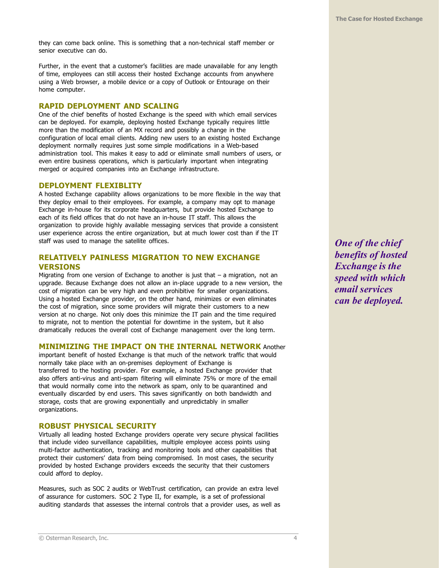they can come back online. This is something that a non-technical staff member or senior executive can do.

Further, in the event that a customer's facilities are made unavailable for any length of time, employees can still access their hosted Exchange accounts from anywhere using a Web browser, a mobile device or a copy of Outlook or Entourage on their home computer.

#### **RAPID DEPLOYMENT AND SCALING**

One of the chief benefits of hosted Exchange is the speed with which email services can be deployed. For example, deploying hosted Exchange typically requires little more than the modification of an MX record and possibly a change in the configuration of local email clients. Adding new users to an existing hosted Exchange deployment normally requires just some simple modifications in a Web-based administration tool. This makes it easy to add or eliminate small numbers of users, or even entire business operations, which is particularly important when integrating merged or acquired companies into an Exchange infrastructure.

#### **DEPLOYMENT FLEXIBLITY**

A hosted Exchange capability allows organizations to be more flexible in the way that they deploy email to their employees. For example, a company may opt to manage Exchange in-house for its corporate headquarters, but provide hosted Exchange to each of its field offices that do not have an in-house IT staff. This allows the organization to provide highly available messaging services that provide a consistent user experience across the entire organization, but at much lower cost than if the IT staff was used to manage the satellite offices.

## **RELATIVELY PAINLESS MIGRATION TO NEW EXCHANGE VERSIONS**

Migrating from one version of Exchange to another is just that – a migration, not an upgrade. Because Exchange does not allow an in-place upgrade to a new version, the cost of migration can be very high and even prohibitive for smaller organizations. Using a hosted Exchange provider, on the other hand, minimizes or even eliminates the cost of migration, since some providers will migrate their customers to a new version at no charge. Not only does this minimize the IT pain and the time required to migrate, not to mention the potential for downtime in the system, but it also dramatically reduces the overall cost of Exchange management over the long term.

#### **MINIMIZING THE IMPACT ON THE INTERNAL NETWORK** Another

important benefit of hosted Exchange is that much of the network traffic that would normally take place with an on-premises deployment of Exchange is transferred to the hosting provider. For example, a hosted Exchange provider that also offers anti-virus and anti-spam filtering will eliminate 75% or more of the email that would normally come into the network as spam, only to be quarantined and eventually discarded by end users. This saves significantly on both bandwidth and storage, costs that are growing exponentially and unpredictably in smaller organizations.

#### **ROBUST PHYSICAL SECURITY**

Virtually all leading hosted Exchange providers operate very secure physical facilities that include video surveillance capabilities, multiple employee access points using multi-factor authentication, tracking and monitoring tools and other capabilities that protect their customers' data from being compromised. In most cases, the security provided by hosted Exchange providers exceeds the security that their customers could afford to deploy.

Measures, such as SOC 2 audits or WebTrust certification, can provide an extra level of assurance for customers. SOC 2 Type II, for example, is a set of professional auditing standards that assesses the internal controls that a provider uses, as well as *One of the chief benefits of hosted Exchange is the speed with which email services can be deployed.*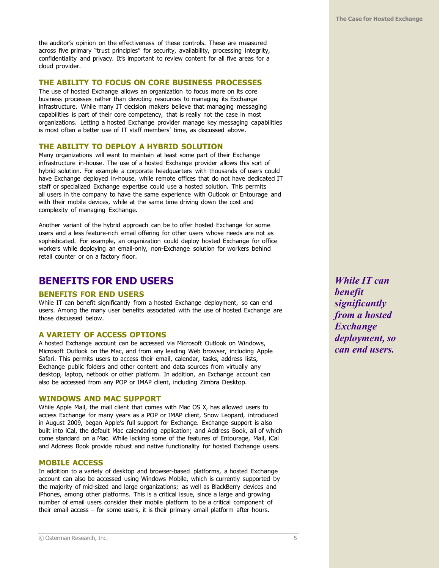the auditor's opinion on the effectiveness of these controls. These are measured across five primary "trust principles" for security, availability, processing integrity, confidentiality and privacy. It's important to review content for all five areas for a cloud provider.

## **THE ABILITY TO FOCUS ON CORE BUSINESS PROCESSES**

The use of hosted Exchange allows an organization to focus more on its core business processes rather than devoting resources to managing its Exchange infrastructure. While many IT decision makers believe that managing messaging capabilities is part of their core competency, that is really not the case in most organizations. Letting a hosted Exchange provider manage key messaging capabilities is most often a better use of IT staff members' time, as discussed above.

#### **THE ABILITY TO DEPLOY A HYBRID SOLUTION**

Many organizations will want to maintain at least some part of their Exchange infrastructure in-house. The use of a hosted Exchange provider allows this sort of hybrid solution. For example a corporate headquarters with thousands of users could have Exchange deployed in-house, while remote offices that do not have dedicated IT staff or specialized Exchange expertise could use a hosted solution. This permits all users in the company to have the same experience with Outlook or Entourage and with their mobile devices, while at the same time driving down the cost and complexity of managing Exchange.

Another variant of the hybrid approach can be to offer hosted Exchange for some users and a less feature-rich email offering for other users whose needs are not as sophisticated. For example, an organization could deploy hosted Exchange for office workers while deploying an email-only, non-Exchange solution for workers behind retail counter or on a factory floor.

# **BENEFITS FOR END USERS**

#### **BENEFITS FOR END USERS**

While IT can benefit significantly from a hosted Exchange deployment, so can end users. Among the many user benefits associated with the use of hosted Exchange are those discussed below.

#### **A VARIETY OF ACCESS OPTIONS**

A hosted Exchange account can be accessed via Microsoft Outlook on Windows, Microsoft Outlook on the Mac, and from any leading Web browser, including Apple Safari. This permits users to access their email, calendar, tasks, address lists, Exchange public folders and other content and data sources from virtually any desktop, laptop, netbook or other platform. In addition, an Exchange account can also be accessed from any POP or IMAP client, including Zimbra Desktop.

#### **WINDOWS AND MAC SUPPORT**

While Apple Mail, the mail client that comes with Mac OS X, has allowed users to access Exchange for many years as a POP or IMAP client, Snow Leopard, introduced in August 2009, began Apple's full support for Exchange. Exchange support is also built into iCal, the default Mac calendaring application; and Address Book, all of which come standard on a Mac. While lacking some of the features of Entourage, Mail, iCal and Address Book provide robust and native functionality for hosted Exchange users.

#### **MOBILE ACCESS**

In addition to a variety of desktop and browser-based platforms, a hosted Exchange account can also be accessed using Windows Mobile, which is currently supported by the majority of mid-sized and large organizations; as well as BlackBerry devices and iPhones, among other platforms. This is a critical issue, since a large and growing number of email users consider their mobile platform to be a critical component of their email access – for some users, it is their primary email platform after hours.

*While IT can benefit significantly from a hosted Exchange deployment, so can end users.*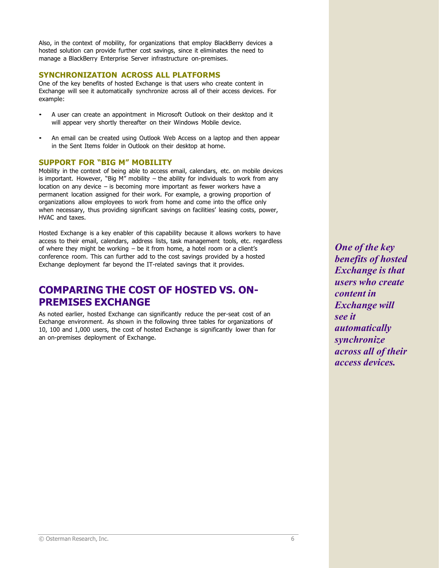Also, in the context of mobility, for organizations that employ BlackBerry devices a hosted solution can provide further cost savings, since it eliminates the need to manage a BlackBerry Enterprise Server infrastructure on-premises.

#### **SYNCHRONIZATION ACROSS ALL PLATFORMS**

One of the key benefits of hosted Exchange is that users who create content in Exchange will see it automatically synchronize across all of their access devices. For example:

- A user can create an appointment in Microsoft Outlook on their desktop and it will appear very shortly thereafter on their Windows Mobile device.
- An email can be created using Outlook Web Access on a laptop and then appear in the Sent Items folder in Outlook on their desktop at home.

## **SUPPORT FOR "BIG M" MOBILITY**

Mobility in the context of being able to access email, calendars, etc. on mobile devices is important. However, "Big M" mobility  $-$  the ability for individuals to work from any location on any device – is becoming more important as fewer workers have a permanent location assigned for their work. For example, a growing proportion of organizations allow employees to work from home and come into the office only when necessary, thus providing significant savings on facilities' leasing costs, power, HVAC and taxes.

Hosted Exchange is a key enabler of this capability because it allows workers to have access to their email, calendars, address lists, task management tools, etc. regardless of where they might be working – be it from home, a hotel room or a client's conference room. This can further add to the cost savings provided by a hosted Exchange deployment far beyond the IT-related savings that it provides.

# **COMPARING THE COST OF HOSTED VS. ON-PREMISES EXCHANGE**

As noted earlier, hosted Exchange can significantly reduce the per-seat cost of an Exchange environment. As shown in the following three tables for organizations of 10, 100 and 1,000 users, the cost of hosted Exchange is significantly lower than for an on-premises deployment of Exchange.

*One of the key benefits of hosted Exchange is that users who create content in Exchange will see it automatically synchronize across all of their access devices.*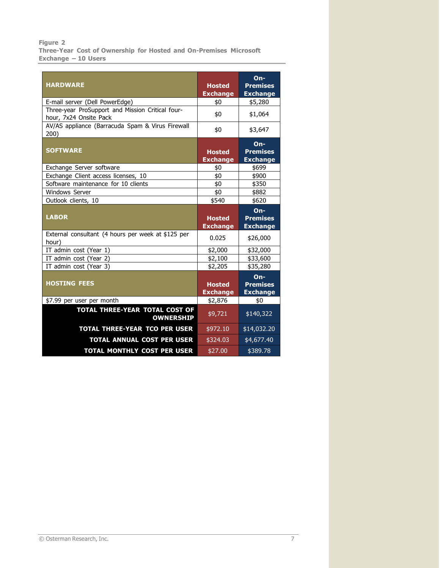#### **Figure 2**

**Three-Year Cost of Ownership for Hosted and On-Premises Microsoft Exchange – 10 Users**

| <b>HARDWARE</b>                                             |                                  | $On-$                              |
|-------------------------------------------------------------|----------------------------------|------------------------------------|
|                                                             | <b>Hosted</b><br><b>Exchange</b> | <b>Premises</b><br><b>Exchange</b> |
| E-mail server (Dell PowerEdge)                              | \$0                              | \$5,280                            |
| Three-year ProSupport and Mission Critical four-            |                                  |                                    |
| hour, 7x24 Onsite Pack                                      | \$0                              | \$1,064                            |
| AV/AS appliance (Barracuda Spam & Virus Firewall            | \$0                              | \$3,647                            |
| 200)                                                        |                                  |                                    |
|                                                             |                                  | $On-$                              |
| <b>SOFTWARE</b>                                             | <b>Hosted</b>                    | <b>Premises</b>                    |
|                                                             | <b>Exchange</b>                  | <b>Exchange</b>                    |
| Exchange Server software                                    | \$0                              | \$699                              |
| Exchange Client access licenses, 10                         | \$0                              | \$900                              |
| Software maintenance for 10 clients                         | \$0                              | \$350                              |
| <b>Windows Server</b>                                       | \$0                              | \$882                              |
| Outlook clients, 10                                         | \$540                            | \$620                              |
|                                                             |                                  | $On-$                              |
|                                                             |                                  |                                    |
| <b>LABOR</b>                                                | <b>Hosted</b>                    | <b>Premises</b>                    |
|                                                             | <b>Exchange</b>                  | <b>Exchange</b>                    |
| External consultant (4 hours per week at \$125 per<br>hour) | 0.025                            | \$26,000                           |
| IT admin cost (Year 1)                                      | \$2,000                          | \$32,000                           |
| IT admin cost (Year 2)                                      | \$2,100                          | \$33,600                           |
| IT admin cost (Year 3)                                      | \$2,205                          | \$35,280                           |
|                                                             |                                  | $On-$                              |
| <b>HOSTING FEES</b>                                         | <b>Hosted</b>                    | <b>Premises</b>                    |
|                                                             |                                  |                                    |
| \$7.99 per user per month                                   | <b>Exchange</b><br>\$2,876       | <b>Exchange</b><br>\$0             |
| <b>TOTAL THREE-YEAR TOTAL COST OF</b><br><b>OWNERSHIP</b>   | \$9,721                          | $\sqrt{140,322}$                   |
| <b>TOTAL THREE-YEAR TCO PER USER</b>                        | \$972.10                         | \$14,032.20                        |
| TOTAL ANNUAL COST PER USER                                  | \$324.03                         | \$4,677.40                         |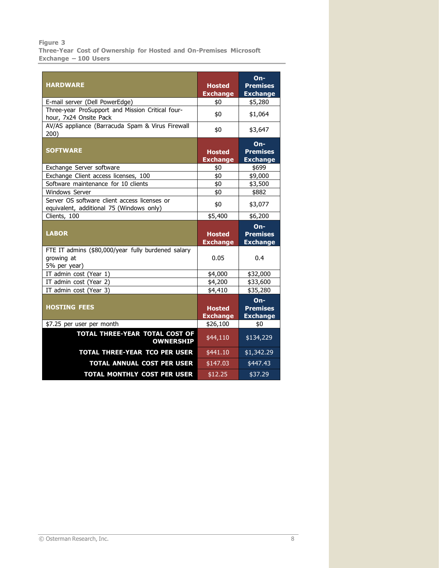#### **Figure 3**

**Three-Year Cost of Ownership for Hosted and On-Premises Microsoft Exchange – 100 Users**

|                                                                                          |                 | $On-$           |
|------------------------------------------------------------------------------------------|-----------------|-----------------|
| <b>HARDWARE</b>                                                                          | <b>Hosted</b>   | <b>Premises</b> |
|                                                                                          | <b>Exchange</b> | <b>Exchange</b> |
| E-mail server (Dell PowerEdge)                                                           | \$0             | \$5,280         |
| Three-year ProSupport and Mission Critical four-<br>hour, 7x24 Onsite Pack               | \$0             | \$1,064         |
| AV/AS appliance (Barracuda Spam & Virus Firewall<br>200)                                 | \$0             | \$3,647         |
|                                                                                          |                 | $On-$           |
| <b>SOFTWARE</b>                                                                          | <b>Hosted</b>   | <b>Premises</b> |
|                                                                                          | <b>Exchange</b> | <b>Exchange</b> |
| Exchange Server software                                                                 | \$0             | \$699           |
| Exchange Client access licenses, 100                                                     | \$0             | \$9,000         |
| Software maintenance for 10 clients                                                      | \$0             | \$3,500         |
| <b>Windows Server</b>                                                                    | \$0             | \$882           |
| Server OS software client access licenses or<br>equivalent, additional 75 (Windows only) | \$0             | \$3,077         |
| Clients, 100                                                                             | \$5,400         | \$6,200         |
|                                                                                          |                 |                 |
|                                                                                          |                 | $On-$           |
| <b>LABOR</b>                                                                             | <b>Hosted</b>   | <b>Premises</b> |
|                                                                                          | <b>Exchange</b> | <b>Exchange</b> |
| FTE IT admins (\$80,000/year fully burdened salary                                       |                 |                 |
| growing at                                                                               | 0.05            | 0.4             |
| 5% per year)                                                                             |                 |                 |
| IT admin cost (Year 1)                                                                   | \$4,000         | \$32,000        |
| IT admin cost (Year 2)                                                                   | \$4,200         | \$33,600        |
| IT admin cost (Year 3)                                                                   | \$4,410         | \$35,280        |
|                                                                                          |                 | $On-$           |
| <b>HOSTING FEES</b>                                                                      | <b>Hosted</b>   | <b>Premises</b> |
|                                                                                          | <b>Exchange</b> | <b>Exchange</b> |
| \$7.25 per user per month                                                                | \$26,100        | \$0             |
| <b>TOTAL THREE-YEAR TOTAL COST OF</b><br><b>OWNERSHIP</b>                                | \$44,110        | \$134,229       |
| <b>TOTAL THREE-YEAR TCO PER USER</b>                                                     | \$441.10        | \$1,342.29      |
| <b>TOTAL ANNUAL COST PER USER</b>                                                        | \$147.03        | \$447.43        |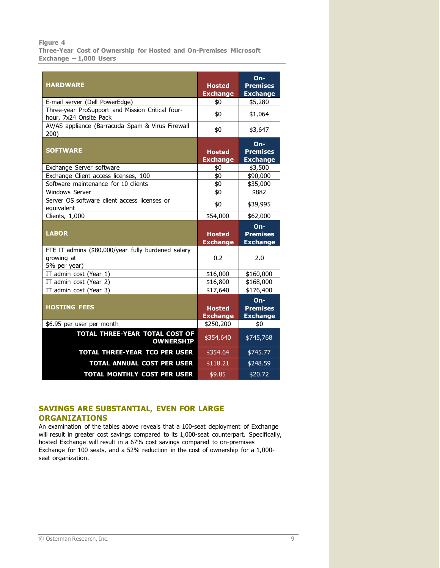#### **Figure 4**

**Three-Year Cost of Ownership for Hosted and On-Premises Microsoft Exchange – 1,000 Users**

|                                                                                        |                        | $On-$                    |
|----------------------------------------------------------------------------------------|------------------------|--------------------------|
| <b>HARDWARE</b>                                                                        | <b>Hosted</b>          | <b>Premises</b>          |
|                                                                                        | <b>Exchange</b>        | <b>Exchange</b>          |
| E-mail server (Dell PowerEdge)                                                         | \$0                    | \$5,280                  |
| Three-year ProSupport and Mission Critical four-<br>hour, 7x24 Onsite Pack             | \$0                    | \$1,064                  |
| AV/AS appliance (Barracuda Spam & Virus Firewall                                       |                        |                          |
| 200)                                                                                   | \$0                    | \$3,647                  |
|                                                                                        |                        | $On-$                    |
| <b>SOFTWARE</b>                                                                        | <b>Hosted</b>          | <b>Premises</b>          |
|                                                                                        | <b>Exchange</b>        | <b>Exchange</b>          |
| Exchange Server software                                                               | \$0                    | \$3,500                  |
| Exchange Client access licenses, 100                                                   | \$0                    | \$90,000                 |
| Software maintenance for 10 clients                                                    | \$0                    | \$35,000                 |
| <b>Windows Server</b>                                                                  | \$0                    | \$882                    |
| Server OS software client access licenses or<br>equivalent                             | \$0                    | \$39,995                 |
| Clients, 1,000                                                                         | \$54,000               | \$62,000                 |
|                                                                                        |                        |                          |
|                                                                                        |                        |                          |
|                                                                                        |                        | $On-$                    |
| <b>LABOR</b>                                                                           | <b>Hosted</b>          | <b>Premises</b>          |
|                                                                                        | <b>Exchange</b>        | <b>Exchange</b>          |
| FTE IT admins (\$80,000/year fully burdened salary                                     |                        |                          |
| growing at                                                                             | 0.2                    | 2.0                      |
| 5% per year)                                                                           |                        |                          |
| IT admin cost (Year 1)                                                                 | \$16,000               | \$160,000                |
| IT admin cost (Year 2)                                                                 | \$16,800               | \$168,000                |
| IT admin cost (Year 3)                                                                 | \$17,640               | \$176,400                |
| <b>HOSTING FEES</b>                                                                    |                        | $On-$<br><b>Premises</b> |
|                                                                                        | <b>Hosted</b>          |                          |
|                                                                                        | <b>Exchange</b>        | <b>Exchange</b>          |
| \$6.95 per user per month<br><b>TOTAL THREE-YEAR TOTAL COST OF</b><br><b>OWNERSHIP</b> | \$250,200<br>\$354,640 | \$0<br>\$745,768         |
| <b>TOTAL THREE-YEAR TCO PER USER</b>                                                   | \$354.64               | \$745.77                 |
| <b>TOTAL ANNUAL COST PER USER</b>                                                      | \$118.21               | \$248.59                 |

# **SAVINGS ARE SUBSTANTIAL, EVEN FOR LARGE ORGANIZATIONS**

An examination of the tables above reveals that a 100-seat deployment of Exchange will result in greater cost savings compared to its 1,000-seat counterpart. Specifically, hosted Exchange will result in a 67% cost savings compared to on-premises Exchange for 100 seats, and a 52% reduction in the cost of ownership for a 1,000 seat organization.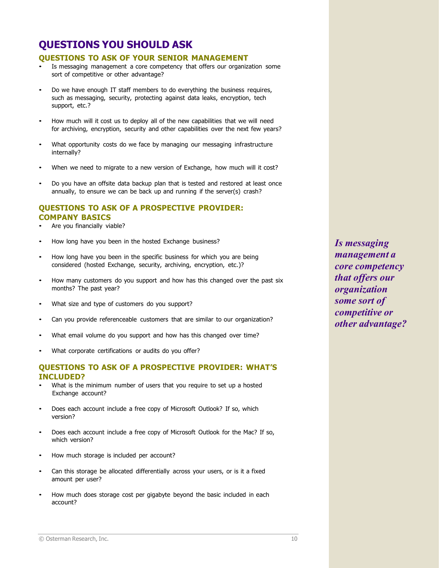# **QUESTIONS YOU SHOULD ASK**

#### **QUESTIONS TO ASK OF YOUR SENIOR MANAGEMENT**

- Is messaging management a core competency that offers our organization some sort of competitive or other advantage?
- Do we have enough IT staff members to do everything the business requires, such as messaging, security, protecting against data leaks, encryption, tech support, etc.?
- How much will it cost us to deploy all of the new capabilities that we will need for archiving, encryption, security and other capabilities over the next few years?
- What opportunity costs do we face by managing our messaging infrastructure internally?
- When we need to migrate to a new version of Exchange, how much will it cost?
- Do you have an offsite data backup plan that is tested and restored at least once annually, to ensure we can be back up and running if the server(s) crash?

# **QUESTIONS TO ASK OF A PROSPECTIVE PROVIDER: COMPANY BASICS**

- Are you financially viable?
- How long have you been in the hosted Exchange business?
- How long have you been in the specific business for which you are being considered (hosted Exchange, security, archiving, encryption, etc.)?
- How many customers do you support and how has this changed over the past six months? The past year?
- What size and type of customers do you support?
- Can you provide referenceable customers that are similar to our organization?
- What email volume do you support and how has this changed over time?
- What corporate certifications or audits do you offer?

## **QUESTIONS TO ASK OF A PROSPECTIVE PROVIDER: WHAT'S INCLUDED?**

- What is the minimum number of users that you require to set up a hosted Exchange account?
- Does each account include a free copy of Microsoft Outlook? If so, which version?
- Does each account include a free copy of Microsoft Outlook for the Mac? If so, which version?
- How much storage is included per account?
- Can this storage be allocated differentially across your users, or is it a fixed amount per user?
- How much does storage cost per gigabyte beyond the basic included in each account?

*Is messaging management a core competency that offers our organization some sort of competitive or other advantage?*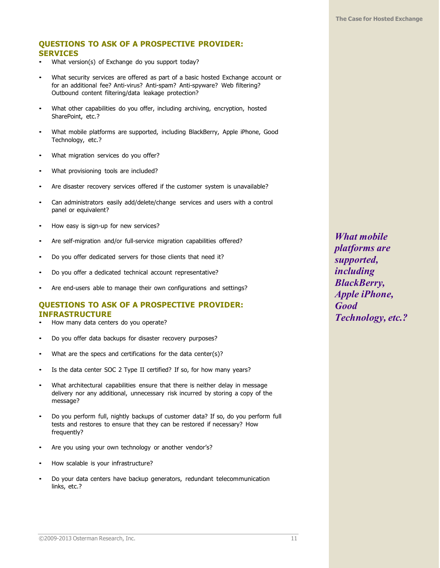# **QUESTIONS TO ASK OF A PROSPECTIVE PROVIDER: SERVICES**

- What version(s) of Exchange do you support today?
- What security services are offered as part of a basic hosted Exchange account or for an additional fee? Anti-virus? Anti-spam? Anti-spyware? Web filtering? Outbound content filtering/data leakage protection?
- What other capabilities do you offer, including archiving, encryption, hosted SharePoint, etc.?
- What mobile platforms are supported, including BlackBerry, Apple iPhone, Good Technology, etc.?
- What migration services do you offer?
- What provisioning tools are included?
- Are disaster recovery services offered if the customer system is unavailable?
- Can administrators easily add/delete/change services and users with a control panel or equivalent?
- How easy is sign-up for new services?
- Are self-migration and/or full-service migration capabilities offered?
- Do you offer dedicated servers for those clients that need it?
- Do you offer a dedicated technical account representative?
- Are end-users able to manage their own configurations and settings?

# **QUESTIONS TO ASK OF A PROSPECTIVE PROVIDER: INFRASTRUCTURE**

- How many data centers do you operate?
- Do you offer data backups for disaster recovery purposes?
- What are the specs and certifications for the data center(s)?
- Is the data center SOC 2 Type II certified? If so, for how many years?
- What architectural capabilities ensure that there is neither delay in message delivery nor any additional, unnecessary risk incurred by storing a copy of the message?
- Do you perform full, nightly backups of customer data? If so, do you perform full tests and restores to ensure that they can be restored if necessary? How frequently?
- Are you using your own technology or another vendor's?
- How scalable is your infrastructure?
- Do your data centers have backup generators, redundant telecommunication links, etc.?

*What mobile platforms are supported, including BlackBerry, Apple iPhone, Good Technology, etc.?*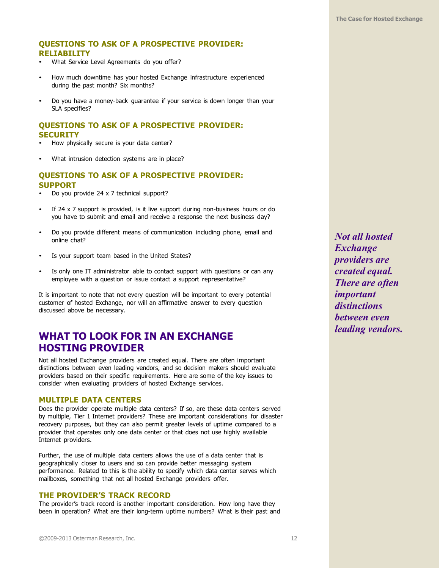# **QUESTIONS TO ASK OF A PROSPECTIVE PROVIDER: RELIABILITY**

- What Service Level Agreements do you offer?
- How much downtime has your hosted Exchange infrastructure experienced during the past month? Six months?
- Do you have a money-back guarantee if your service is down longer than your SLA specifies?

# **QUESTIONS TO ASK OF A PROSPECTIVE PROVIDER: SECURITY**

- How physically secure is your data center?
- What intrusion detection systems are in place?

## **QUESTIONS TO ASK OF A PROSPECTIVE PROVIDER: SUPPORT**

- Do you provide 24 x 7 technical support?
- If 24  $\times$  7 support is provided, is it live support during non-business hours or do you have to submit and email and receive a response the next business day?
- Do you provide different means of communication including phone, email and online chat?
- Is your support team based in the United States?
- Is only one IT administrator able to contact support with questions or can any employee with a question or issue contact a support representative?

It is important to note that not every question will be important to every potential customer of hosted Exchange, nor will an affirmative answer to every question discussed above be necessary.

# **WHAT TO LOOK FOR IN AN EXCHANGE HOSTING PROVIDER**

Not all hosted Exchange providers are created equal. There are often important distinctions between even leading vendors, and so decision makers should evaluate providers based on their specific requirements. Here are some of the key issues to consider when evaluating providers of hosted Exchange services.

#### **MULTIPLE DATA CENTERS**

Does the provider operate multiple data centers? If so, are these data centers served by multiple, Tier 1 Internet providers? These are important considerations for disaster recovery purposes, but they can also permit greater levels of uptime compared to a provider that operates only one data center or that does not use highly available Internet providers.

Further, the use of multiple data centers allows the use of a data center that is geographically closer to users and so can provide better messaging system performance. Related to this is the ability to specify which data center serves which mailboxes, something that not all hosted Exchange providers offer.

#### **THE PROVIDER'S TRACK RECORD**

The provider's track record is another important consideration. How long have they been in operation? What are their long-term uptime numbers? What is their past and

*Not all hosted Exchange providers are created equal. There are often important distinctions between even leading vendors.*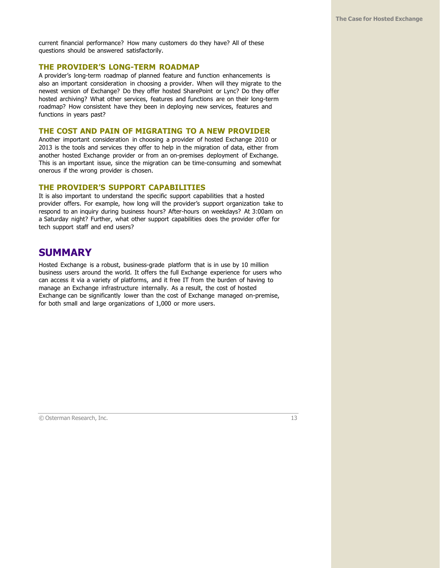current financial performance? How many customers do they have? All of these questions should be answered satisfactorily.

#### **THE PROVIDER'S LONG-TERM ROADMAP**

A provider's long-term roadmap of planned feature and function enhancements is also an important consideration in choosing a provider. When will they migrate to the newest version of Exchange? Do they offer hosted SharePoint or Lync? Do they offer hosted archiving? What other services, features and functions are on their long-term roadmap? How consistent have they been in deploying new services, features and functions in years past?

#### **THE COST AND PAIN OF MIGRATING TO A NEW PROVIDER**

Another important consideration in choosing a provider of hosted Exchange 2010 or 2013 is the tools and services they offer to help in the migration of data, either from another hosted Exchange provider or from an on-premises deployment of Exchange. This is an important issue, since the migration can be time-consuming and somewhat onerous if the wrong provider is chosen.

#### **THE PROVIDER'S SUPPORT CAPABILITIES**

It is also important to understand the specific support capabilities that a hosted provider offers. For example, how long will the provider's support organization take to respond to an inquiry during business hours? After-hours on weekdays? At 3:00am on a Saturday night? Further, what other support capabilities does the provider offer for tech support staff and end users?

# **SUMMARY**

Hosted Exchange is a robust, business-grade platform that is in use by 10 million business users around the world. It offers the full Exchange experience for users who can access it via a variety of platforms, and it free IT from the burden of having to manage an Exchange infrastructure internally. As a result, the cost of hosted Exchange can be significantly lower than the cost of Exchange managed on-premise, for both small and large organizations of 1,000 or more users.

© Osterman Research, Inc. 13